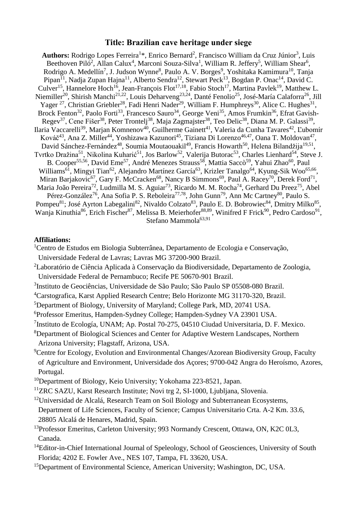## **Title: Brazilian cave heritage under siege**

Authors: Rodrigo Lopes Ferreira<sup>1\*</sup>, Enrico Bernard<sup>2</sup>, Francisco William da Cruz Júnior<sup>3</sup>, Luis Beethoven Piló<sup>2</sup>, Allan Calux<sup>4</sup>, Marconi Souza-Silva<sup>1</sup>, William R. Jeffery<sup>5</sup>, William Shear<sup>6</sup>, Rodrigo A. Medellín<sup>7</sup>, J. Judson Wynne<sup>8</sup>, Paulo A. V. Borges<sup>9</sup>, Yoshitaka Kamimura<sup>10</sup>, Tanja Pipan<sup>11</sup>, Nadja Zupan Hajna<sup>11</sup>, Alberto Sendra<sup>12</sup>, Stewart Peck<sup>13</sup>, Bogdan P. Onac<sup>14</sup>, David C. Culver<sup>15</sup>, Hannelore Hoch<sup>16</sup>, Jean-François Flot<sup>17,18</sup>, Fabio Stoch<sup>17</sup>, Martina Pavlek<sup>19</sup>, Matthew L. Niemiller<sup>20</sup>, Shirish Manchi<sup>21,22</sup>, Louis Deharveng<sup>23,24</sup>, Danté Fenolio<sup>25</sup>, José-María Calaforra<sup>26</sup>, Jill Yager<sup>27</sup>, Christian Griebler<sup>28</sup>, Fadi Henri Nader<sup>29</sup>, William F. Humphreys<sup>30</sup>, Alice C. Hughes<sup>31</sup>, Brock Fenton<sup>32</sup>, Paolo Forti<sup>33</sup>, Francesco Sauro<sup>34</sup>, George Veni<sup>35</sup>, Amos Frumkin<sup>36</sup>, Efrat Gavish-Regev<sup>37</sup>, Cene Fišer<sup>38</sup>, Peter Trontelj<sup>38</sup>, Maja Zagmajster<sup>38</sup>, Teo Delic<sup>38</sup>, Diana M. P. Galassi<sup>39</sup>, Ilaria Vaccarelli<sup>39</sup>, Marjan Komnenov<sup>40</sup>, Guilherme Gainett<sup>41</sup>, Valeria da Cunha Tavares<sup>42</sup>, L'ubomír Kováč<sup>43</sup>, Ana Z. Miller<sup>44</sup>, Yoshizawa Kazunori<sup>45</sup>, Tiziana Di Lorenzo<sup>46,47</sup>, Oana T. Moldovan<sup>47</sup>, David Sánchez-Fernández<sup>48</sup>, Soumia Moutaouakil<sup>49</sup>, Francis Howarth<sup>50</sup>, Helena Bilandžija<sup>19,51</sup>, Tvrtko Dražina<sup>51</sup>, Nikolina Kuharić<sup>51</sup>, Jos Barlow<sup>52</sup>, Valerija Butorac<sup>53</sup>, Charles Lienhard<sup>54</sup>, Steve J. B. Cooper<sup>55,56</sup>, David Eme<sup>57</sup>, André Menezes Strauss<sup>58</sup>, Mattia Saccò<sup>59</sup>, Yahui Zhao<sup>60</sup>, Paul Williams<sup>61</sup>, Mingyi Tian<sup>62</sup>, Alejandro Martínez García<sup>63</sup>, Krizler Tanalgo<sup>64</sup>, Kyung-Sik Woo<sup>65,66</sup>, Miran Barjakovic<sup>67</sup>, Gary F. McCracken<sup>68</sup>, Nancy B Simmons<sup>69</sup>, Paul A. Racey<sup>70</sup>, Derek Ford<sup>71</sup>, Maria João Pereira<sup>72</sup>, Ludmilla M. S. Aguiar<sup>73</sup>, Ricardo M. M. Rocha<sup>74</sup>, Gerhard Du Preez<sup>75</sup>, Abel Pérez-González<sup>76</sup>, Ana Sofia P. S. Reboleira<sup>77,78</sup>, John Gunn<sup>79</sup>, Ann Mc Cartney<sup>80</sup>, Paulo S. Pompeu<sup>81</sup>; José Ayrton Labegalini<sup>82</sup>, Nivaldo Colzato<sup>83</sup>, Paulo E. D. Bobrowiec<sup>84</sup>, Dmitry Milko<sup>85</sup>, Wanja Kinuthia<sup>86</sup>, Erich Fischer<sup>87</sup>, Melissa B. Meierhofer<sup>88,89</sup>, Winifred F Frick<sup>90</sup>, Pedro Cardoso<sup>91</sup>, Stefano Mammola<sup>63,91</sup>

## **Affiliations:**

- <sup>1</sup> Centro de Estudos em Biologia Subterrânea, Departamento de Ecologia e Conservação, Universidade Federal de Lavras; Lavras MG 37200-900 Brazil.
- <sup>2</sup>Laboratório de Ciência Aplicada à Conservação da Biodiversidade, Departamento de Zoologia, Universidade Federal de Pernambuco; Recife PE 50670-901 Brazil.
- 3 Instituto de Geociências, Universidade de São Paulo; São Paulo SP 05508-080 Brazil.
- <sup>4</sup>Carstografica, Karst Applied Research Centre; Belo Horizonte MG 31170-320, Brazil.
- <sup>5</sup>Department of Biology, University of Maryland; College Park, MD, 20741 USA.
- <sup>6</sup>Professor Emeritus, Hampden-Sydney College; Hampden-Sydney VA 23901 USA.
- <sup>7</sup>Instituto de Ecología, UNAM; Ap. Postal 70-275, 04510 Ciudad Universitaria, D. F. Mexico.
- <sup>8</sup>Department of Biological Sciences and Center for Adaptive Western Landscapes, Northern Arizona University; Flagstaff, Arizona, USA.
- <sup>9</sup>Centre for Ecology, Evolution and Environmental Changes/Azorean Biodiversity Group, Faculty of Agriculture and Environment, Universidade dos Açores; 9700-042 Angra do Heroísmo, Azores, Portugal.
- <sup>10</sup>Department of Biology, Keio University; Yokohama 223-8521, Japan.
- <sup>11</sup>ZRC SAZU, Karst Research Institute; Novi trg 2, SI-1000, Ljubljana, Slovenia.
- <sup>12</sup>Universidad de Alcalá, Research Team on Soil Biology and Subterranean Ecosystems, Department of Life Sciences, Faculty of Science; Campus Universitario Crta. A-2 Km. 33.6, 28805 Alcalá de Henares, Madrid, Spain.
- <sup>13</sup>Professor Emeritus, Carleton University; 993 Normandy Crescent, Ottawa, ON, K2C 0L3, Canada.
- <sup>14</sup>Editor-in-Chief International Journal of Speleology, School of Geosciences, University of South Florida; 4202 E. Fowler Ave., NES 107, Tampa, FL 33620, USA.
- <sup>15</sup>Department of Environmental Science, American University; Washington, DC, USA.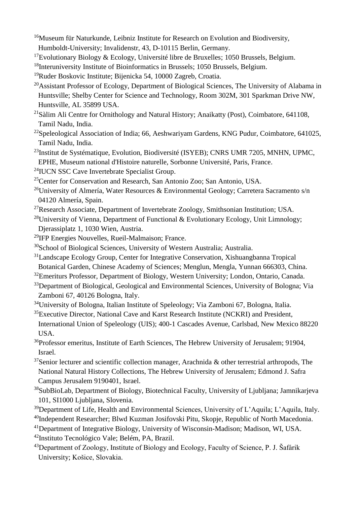- <sup>16</sup>Museum für Naturkunde, Leibniz Institute for Research on Evolution and Biodiversity, Humboldt-University; Invalidenstr, 43, D-10115 Berlin, Germany.
- <sup>17</sup>Evolutionary Biology & Ecology, Université libre de Bruxelles; 1050 Brussels, Belgium.
- <sup>18</sup>Interuniversity Institute of Bioinformatics in Brussels; 1050 Brussels, Belgium.
- <sup>19</sup>Ruder Boskovic Institute; Bijenicka 54, 10000 Zagreb, Croatia.
- <sup>20</sup>Assistant Professor of Ecology, Department of Biological Sciences, The University of Alabama in Huntsville; Shelby Center for Science and Technology, Room 302M, 301 Sparkman Drive NW, Huntsville, AL 35899 USA.
- $^{21}$ Sàlim Ali Centre for Ornithology and Natural History; Anaikatty (Post), Coimbatore, 641108, Tamil Nadu, India.
- <sup>22</sup>Speleological Association of India; 66, Aeshwariyam Gardens, KNG Pudur, Coimbatore, 641025, Tamil Nadu, India.
- <sup>23</sup>Institut de Systématique, Evolution, Biodiversité (ISYEB); CNRS UMR 7205, MNHN, UPMC, EPHE, Museum national d'Histoire naturelle, Sorbonne Université, Paris, France.
- <sup>24</sup>IUCN SSC Cave Invertebrate Specialist Group.
- <sup>25</sup>Center for Conservation and Research, San Antonio Zoo; San Antonio, USA.
- <sup>26</sup>University of Almería, Water Resources & Environmental Geology; Carretera Sacramento s/n 04120 Almería, Spain.
- <sup>27</sup>Research Associate, Department of Invertebrate Zoology, Smithsonian Institution; USA.
- <sup>28</sup>University of Vienna, Department of Functional & Evolutionary Ecology, Unit Limnology; Djerassiplatz 1, 1030 Wien, Austria.
- <sup>29</sup>IFP Energies Nouvelles, Rueil-Malmaison; France.
- <sup>30</sup>School of Biological Sciences, University of Western Australia; Australia.
- <sup>31</sup>Landscape Ecology Group, Center for Integrative Conservation, Xishuangbanna Tropical Botanical Garden, Chinese Academy of Sciences; Menglun, Mengla, Yunnan 666303, China.
- <sup>32</sup>Emeriturs Professor, Department of Biology, Western University; London, Ontario, Canada.
- <sup>33</sup>Department of Biological, Geological and Environmental Sciences, University of Bologna; Via Zamboni 67, 40126 Bologna, Italy.
- <sup>34</sup>University of Bologna, Italian Institute of Speleology; Via Zamboni 67, Bologna, Italia.
- <sup>35</sup>Executive Director, National Cave and Karst Research Institute (NCKRI) and President, International Union of Speleology (UIS); 400-1 Cascades Avenue, Carlsbad, New Mexico 88220 USA.
- <sup>36</sup>Professor emeritus, Institute of Earth Sciences, The Hebrew University of Jerusalem; 91904, Israel.
- $37$ Senior lecturer and scientific collection manager, Arachnida & other terrestrial arthropods, The National Natural History Collections, The Hebrew University of Jerusalem; Edmond J. Safra Campus Jerusalem 9190401, Israel.
- <sup>38</sup>SubBioLab, Department of Biology, Biotechnical Faculty, University of Ljubljana; Jamnikarjeva 101, SI1000 Ljubljana, Slovenia.
- <sup>39</sup>Department of Life, Health and Environmental Sciences, University of L'Aquila; L'Aquila, Italy.
- <sup>40</sup>Independent Researcher; Blwd Kuzman Josifovski Pitu, Skopje, Republic of North Macedonia.
- <sup>41</sup>Department of Integrative Biology, University of Wisconsin-Madison; Madison, WI, USA.
- <sup>42</sup>Instituto Tecnológico Vale; Belém, PA, Brazil.
- <sup>43</sup>Department of Zoology, Institute of Biology and Ecology, Faculty of Science, P. J. Šafárik University; Košice, Slovakia.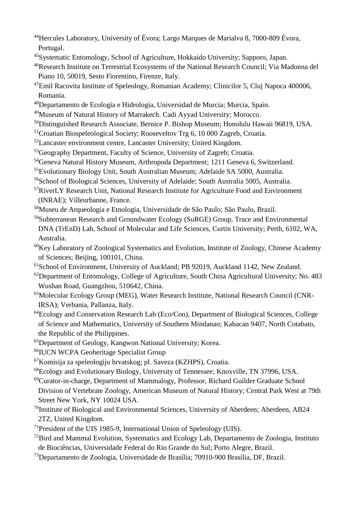- Hercules Laboratory, University of Évora; Largo Marques de Marialva 8, 7000-809 Évora, Portugal.
- Systematic Entomology, School of Agriculture, Hokkaido University; Sapporo, Japan.
- Research Institute on Terrestrial Ecosystems of the National Research Council; Via Madonna del Piano 10, 50019, Sesto Fiorentino, Firenze, Italy.
- Emil Racovita Institute of Speleology, Romanian Academy; Clinicilor 5, Cluj Napoca 400006, Romania.
- Departamento de Ecología e Hidrología, Universidad de Murcia; Murcia, Spain.
- Museum of Natural History of Marrakech. Cadi Ayyad University; Morocco.
- Distinguished Research Associate, Bernice P. Bishop Museum; Honolulu Hawaii 96819, USA.
- Croatian Biospeleological Society; Rooseveltov Trg 6, 10 000 Zagreb, Croatia.
- Lancaster environment centre, Lancaster University; United Kingdom.
- <sup>53</sup>Geography Department, Faculty of Science, University of Zagreb; Croatia.
- Geneva Natural History Museum, Arthropoda Department; 1211 Geneva 6, Switzerland.
- Evolutionary Biology Unit, South Australian Museum; Adelaide SA 5000, Australia.
- School of Biological Sciences, University of Adelaide; South Australia 5005, Australia.
- RiverLY Research Unit, National Research Institute for Agriculture Food and Environment (INRAE); Villeurbanne, France.
- Museu de Arqueologia e Etnologia, Universidade de São Paulo; São Paulo, Brazil.
- Subterranean Research and Groundwater Ecology (SuRGE) Group, Trace and Environmental DNA (TrEnD) Lab, School of Molecular and Life Sciences, Curtin University; Perth, 6102, WA, Australia.
- Key Laboratory of Zoological Systematics and Evolution, Institute of Zoology, Chinese Academy of Sciences; Beijing, 100101, China.
- <sup>61</sup>School of Environment, University of Auckland; PB 92019, Auckland 1142, New Zealand.
- Department of Entomology, College of Agriculture, South China Agricultural University; No. 483 Wushan Road, Guangzhou, 510642, China.
- Molecular Ecology Group (MEG), Water Research Institute, National Research Council (CNR-IRSA); Verbania, Pallanza, Italy.
- Ecology and Conservation Research Lab (Eco/Con), Department of Biological Sciences, College of Science and Mathematics, University of Southern Mindanao; Kabacan 9407, North Cotabato, the Republic of the Philippines.
- Department of Geology, Kangwon National University; Korea.
- IUCN WCPA Geoheritage Specialist Group
- Komisija za speleologiju hrvatskog; pl. Saveza (KZHPS), Croatia.
- Ecology and Evolutionary Biology, University of Tennessee; Knoxville, TN 37996, USA.
- Curator-in-charge, Department of Mammalogy, Professor, Richard Guilder Graduate School Division of Vertebrate Zoology, American Museum of Natural History; Central Park West at 79th Street New York, NY 10024 USA.
- Institute of Biological and Environmental Sciences, University of Aberdeen; Aberdeen, AB24 2TZ, United Kingdom.
- President of the UIS 1985-9, International Union of Speleology (UIS).
- Bird and Mammal Evolution, Systematics and Ecology Lab, Departamento de Zoologia, Instituto de Biociências, Universidade Federal do Rio Grande do Sul; Porto Alegre, Brazil.
- Departamento de Zoologia, Universidade de Brasília; 70910-900 Brasília, DF, Brazil.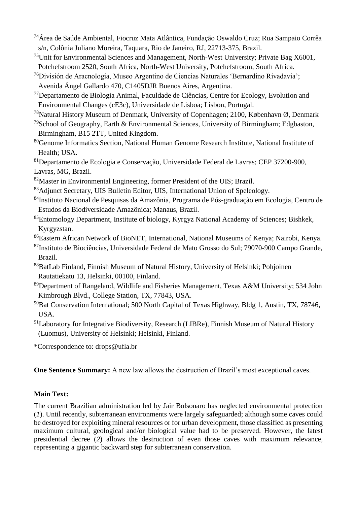- <sup>74</sup>Área de Saúde Ambiental, Fiocruz Mata Atlântica, Fundação Oswaldo Cruz; Rua Sampaio Corrêa s/n, Colônia Juliano Moreira, Taquara, Rio de Janeiro, RJ, 22713-375, Brazil.
- $^{75}$ Unit for Environmental Sciences and Management, North-West University; Private Bag X6001, Potchefstroom 2520, South Africa, North-West University, Potchefstroom, South Africa.
- <sup>76</sup>División de Aracnología, Museo Argentino de Ciencias Naturales 'Bernardino Rivadavia'; Avenida Ángel Gallardo 470, C1405DJR Buenos Aires, Argentina.
- <sup>77</sup>Departamento de Biologia Animal, Faculdade de Ciências, Centre for Ecology, Evolution and Environmental Changes (cE3c), Universidade de Lisboa; Lisbon, Portugal.
- <sup>78</sup>Natural History Museum of Denmark, University of Copenhagen; 2100, København Ø, Denmark
- <sup>79</sup>School of Geography, Earth & Environmental Sciences, University of Birmingham; Edgbaston, Birmingham, B15 2TT, United Kingdom.
- <sup>80</sup>Genome Informatics Section, National Human Genome Research Institute, National Institute of Health; USA.

<sup>81</sup>Departamento de Ecologia e Conservação, Universidade Federal de Lavras; CEP 37200-900, Lavras, MG, Brazil.

- <sup>82</sup>Master in Environmental Engineering, former President of the UIS; Brazil.
- <sup>83</sup>Adjunct Secretary, UIS Bulletin Editor, UIS, International Union of Speleology.
- <sup>84</sup>Instituto Nacional de Pesquisas da Amazônia, Programa de Pós-graduação em Ecologia, Centro de Estudos da Biodiversidade Amazônica; Manaus, Brazil.
- <sup>85</sup>Entomology Department, Institute of biology, Kyrgyz National Academy of Sciences; Bishkek, Kyrgyzstan.
- <sup>86</sup>Eastern African Network of BioNET, International, National Museums of Kenya; Nairobi, Kenya.
- <sup>87</sup>Instituto de Biociências, Universidade Federal de Mato Grosso do Sul; 79070-900 Campo Grande, Brazil.
- <sup>88</sup>BatLab Finland, Finnish Museum of Natural History, University of Helsinki; Pohjoinen Rautatiekatu 13, Helsinki, 00100, Finland.
- <sup>89</sup>Department of Rangeland, Wildlife and Fisheries Management, Texas A&M University; 534 John Kimbrough Blvd., College Station, TX, 77843, USA.
- <sup>90</sup>Bat Conservation International; 500 North Capital of Texas Highway, Bldg 1, Austin, TX, 78746, USA.
- $91$ Laboratory for Integrative Biodiversity, Research (LIBRe), Finnish Museum of Natural History (Luomus), University of Helsinki; Helsinki, Finland.

\*Correspondence to: [drops@ufla.br](about:blank)

**One Sentence Summary:** A new law allows the destruction of Brazil's most exceptional caves.

## **Main Text:**

The current Brazilian administration led by Jair Bolsonaro has neglected environmental protection (*1*). Until recently, subterranean environments were largely safeguarded; although some caves could be destroyed for exploiting mineral resources or for urban development, those classified as presenting maximum cultural, geological and/or biological value had to be preserved. However, the latest presidential decree (*2*) allows the destruction of even those caves with maximum relevance, representing a gigantic backward step for subterranean conservation.